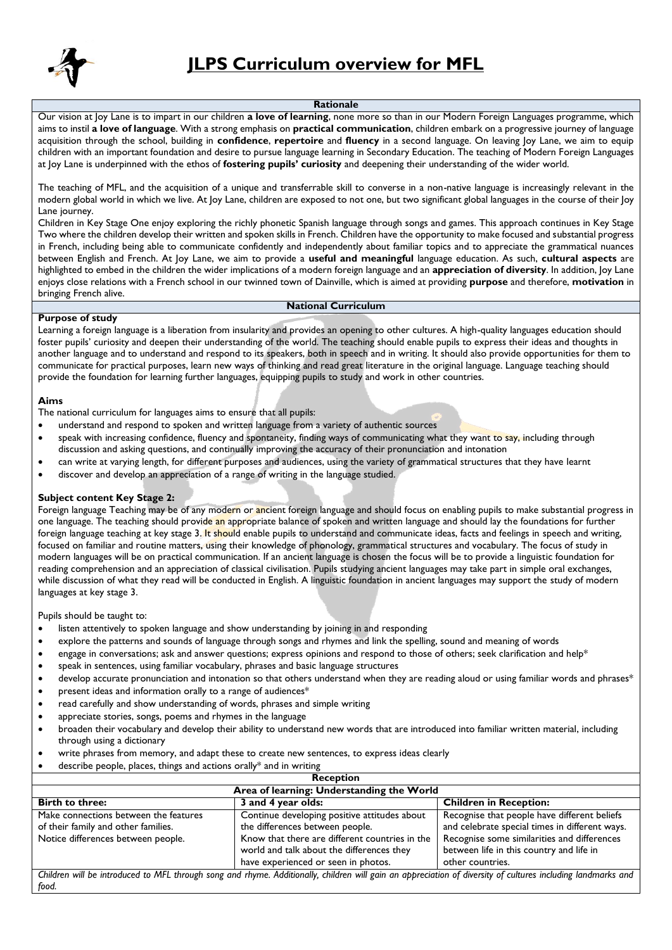

**JLPS Curriculum overview for MFL**

## **Rationale**

Our vision at Joy Lane is to impart in our children **a love of learning**, none more so than in our Modern Foreign Languages programme, which aims to instil **a love of language**. With a strong emphasis on **practical communication**, children embark on a progressive journey of language acquisition through the school, building in **confidence**, **repertoire** and **fluency** in a second language. On leaving Joy Lane, we aim to equip children with an important foundation and desire to pursue language learning in Secondary Education. The teaching of Modern Foreign Languages at Joy Lane is underpinned with the ethos of **fostering pupils' curiosity** and deepening their understanding of the wider world.

The teaching of MFL, and the acquisition of a unique and transferrable skill to converse in a non-native language is increasingly relevant in the modern global world in which we live. At Joy Lane, children are exposed to not one, but two significant global languages in the course of their Joy Lane journey.

Children in Key Stage One enjoy exploring the richly phonetic Spanish language through songs and games. This approach continues in Key Stage Two where the children develop their written and spoken skills in French. Children have the opportunity to make focused and substantial progress in French, including being able to communicate confidently and independently about familiar topics and to appreciate the grammatical nuances between English and French. At Joy Lane, we aim to provide a **useful and meaningful** language education. As such, **cultural aspects** are highlighted to embed in the children the wider implications of a modern foreign language and an **appreciation of diversity**. In addition, Joy Lane enjoys close relations with a French school in our twinned town of Dainville, which is aimed at providing **purpose** and therefore, **motivation** in bringing French alive.

## **National Curriculum**

## **Purpose of study**

Learning a foreign language is a liberation from insularity and provides an opening to other cultures. A high-quality languages education should foster pupils' curiosity and deepen their understanding of the world. The teaching should enable pupils to express their ideas and thoughts in another language and to understand and respond to its speakers, both in speech and in writing. It should also provide opportunities for them to communicate for practical purposes, learn new ways of thinking and read great literature in the original language. Language teaching should provide the foundation for learning further languages, equipping pupils to study and work in other countries.

## **Aims**

The national curriculum for languages aims to ensure that all pupils:

- understand and respond to spoken and written language from a variety of authentic sources
- speak with increasing confidence, fluency and spontaneity, finding ways of communicating what they want to say, including through discussion and asking questions, and continually improving the accuracy of their pronunciation and intonation
- can write at varying length, for different purposes and audiences, using the variety of grammatical structures that they have learnt
- discover and develop an appreciation of a range of writing in the language studied.

# **Subject content Key Stage 2:**

Foreign language Teaching may be of any modern or ancient foreign language and should focus on enabling pupils to make substantial progress in one language. The teaching should provide an appropriate balance of spoken and written language and should lay the foundations for further foreign language teaching at key stage 3. It should enable pupils to understand and communicate ideas, facts and feelings in speech and writing, focused on familiar and routine matters, using their knowledge of phonology, grammatical structures and vocabulary. The focus of study in modern languages will be on practical communication. If an ancient language is chosen the focus will be to provide a linguistic foundation for reading comprehension and an appreciation of classical civilisation. Pupils studying ancient languages may take part in simple oral exchanges, while discussion of what they read will be conducted in English. A linguistic foundation in ancient languages may support the study of modern languages at key stage 3.

Pupils should be taught to:

- listen attentively to spoken language and show understanding by joining in and responding
- explore the patterns and sounds of language through songs and rhymes and link the spelling, sound and meaning of words
- engage in conversations; ask and answer questions; express opinions and respond to those of others; seek clarification and help\*
- speak in sentences, using familiar vocabulary, phrases and basic language structures
- develop accurate pronunciation and intonation so that others understand when they are reading aloud or using familiar words and phrases\*
- present ideas and information orally to a range of audiences\*
- read carefully and show understanding of words, phrases and simple writing
- appreciate stories, songs, poems and rhymes in the language
- broaden their vocabulary and develop their ability to understand new words that are introduced into familiar written material, including through using a dictionary
- write phrases from memory, and adapt these to create new sentences, to express ideas clearly
- describe people, places, things and actions orally\* and in writing

| <b>Reception</b>                                                                                                                                           |                                                |                                                |  |  |  |
|------------------------------------------------------------------------------------------------------------------------------------------------------------|------------------------------------------------|------------------------------------------------|--|--|--|
| Area of learning: Understanding the World                                                                                                                  |                                                |                                                |  |  |  |
| <b>Birth to three:</b>                                                                                                                                     | 3 and 4 year olds:                             | <b>Children in Reception:</b>                  |  |  |  |
| Make connections between the features                                                                                                                      | Continue developing positive attitudes about   | Recognise that people have different beliefs   |  |  |  |
| of their family and other families.                                                                                                                        | the differences between people.                | and celebrate special times in different ways. |  |  |  |
| Notice differences between people.                                                                                                                         | Know that there are different countries in the | Recognise some similarities and differences    |  |  |  |
|                                                                                                                                                            | world and talk about the differences they      | between life in this country and life in       |  |  |  |
|                                                                                                                                                            | have experienced or seen in photos.            | other countries.                               |  |  |  |
| Children will be introduced to MEL through song and rhyme Additionally children will gain an appreciation of diversity of cultures including landmarks and |                                                |                                                |  |  |  |

*Children will be introduced to MFL through song and rhyme. Additionally, children will gain an appreciation of diversity of cultures including landmarks and food.*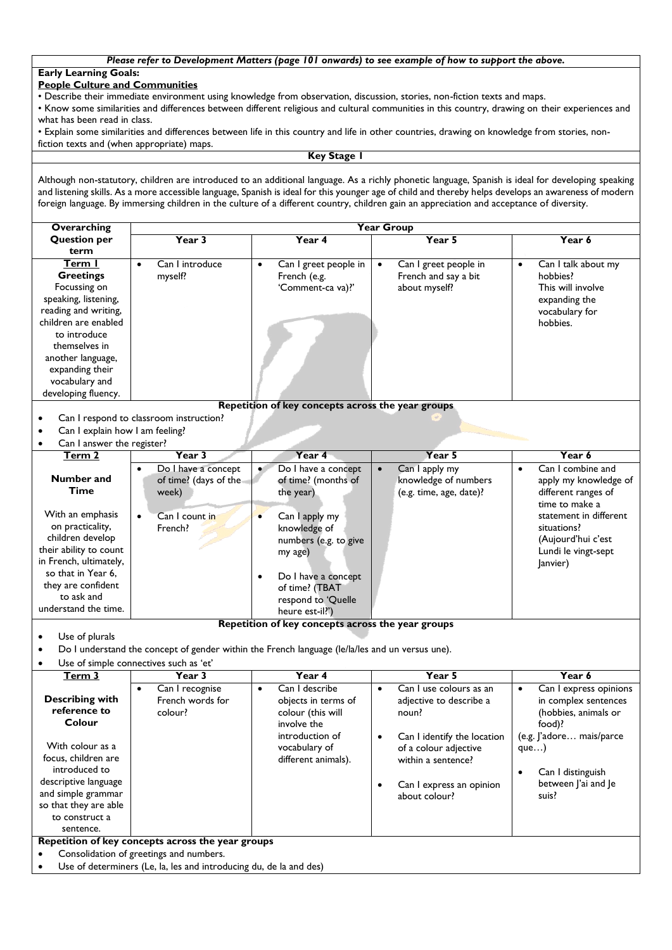#### *Please refer to Development Matters (page 101 onwards) to see example of how to support the above.* **Early Learning Goals: People Culture and Communities** • Describe their immediate environment using knowledge from observation, discussion, stories, non-fiction texts and maps. • Know some similarities and differences between different religious and cultural communities in this country, drawing on their experiences and what has been read in class. • Explain some similarities and differences between life in this country and life in other countries, drawing on knowledge from stories, nonfiction texts and (when appropriate) maps. **Key Stage 1** Although non-statutory, children are introduced to an additional language. As a richly phonetic language, Spanish is ideal for developing speaking and listening skills. As a more accessible language, Spanish is ideal for this younger age of child and thereby helps develops an awareness of modern foreign language. By immersing children in the culture of a different country, children gain an appreciation and acceptance of diversity. **Overarching Question per term Year Group Year 3 Year 4 Year 5 Year 6 Term 1 Greetings** Focussing on speaking, listening, reading and writing, children are enabled to introduce themselves in another language, expanding their vocabulary and developing fluency. Can I introduce myself? Can I greet people in French (e.g. 'Comment-ca va)?' Can I greet people in French and say a bit about myself? Can I talk about my hobbies? This will involve expanding the vocabulary for hobbies. **Repetition of key concepts across the year groups** Can I respond to classroom instruction? Can I explain how I am feeling? Can I answer the register? **Term 2 Number and Time** With an emphasis on practicality, children develop their ability to count in French, ultimately, so that in Year 6, they are confident to ask and understand the time. **Year 3 Year 4 Year 5 Year 6** Do I have a concept of time? (days of the week) • Can I count in French? Do I have a concept of time? (months of the year) Can I apply my knowledge of numbers (e.g. to give my age) Do I have a concept of time? (TBAT respond to 'Quelle heure est-il?') Can I apply my knowledge of numbers (e.g. time, age, date)? Can I combine and apply my knowledge of different ranges of time to make a statement in different situations? (Aujourd'hui c'est Lundi le vingt-sept Janvier) **Repetition of key concepts across the year groups** Use of plurals Do I understand the concept of gender within the French language (le/la/les and un versus une). Use of simple connectives such as 'et' **Term 3 Describing with reference to Colour** With colour as a focus, children are introduced to descriptive language and simple grammar so that they are able to construct a sentence. **Year 3 Year 4 Year 5 Year 6** Can I recognise French words for colour? Can I describe objects in terms of colour (this will involve the introduction of vocabulary of different animals). Can I use colours as an adjective to describe a noun? Can I identify the location of a colour adjective within a sentence? Can I express an opinion about colour? Can I express opinions in complex sentences (hobbies, animals or food)? (e.g. J'adore… mais/parce que…) Can I distinguish between *l'ai* and *le* suis? **Repetition of key concepts across the year groups** Consolidation of greetings and numbers. Use of determiners (Le, la, les and introducing du, de la and des)